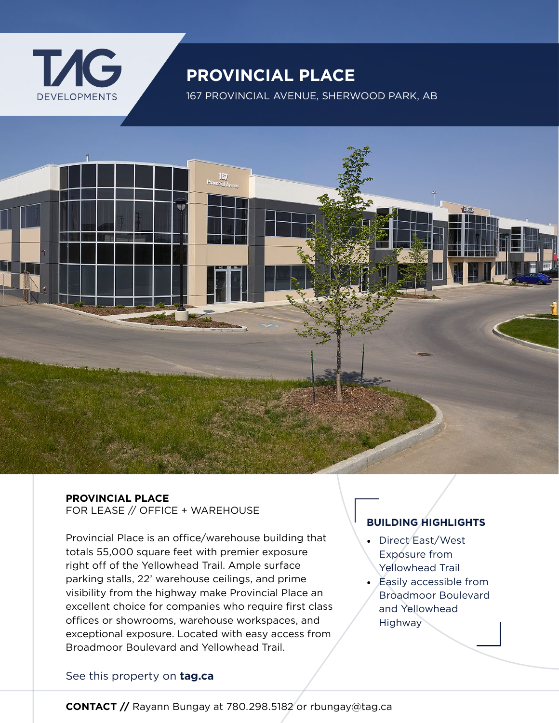

# **PROVINCIAL PLACE**

167 PROVINCIAL AVENUE, SHERWOOD PARK, AB



## **PROVINCIAL PLACE**

FOR LEASE // OFFICE + WAREHOUSE

Provincial Place is an office/warehouse building that totals 55,000 square feet with premier exposure right off of the Yellowhead Trail. Ample surface parking stalls, 22' warehouse ceilings, and prime visibility from the highway make Provincial Place an excellent choice for companies who require first class offices or showrooms, warehouse workspaces, and exceptional exposure. Located with easy access from Broadmoor Boulevard and Yellowhead Trail.

## **BUILDING HIGHLIGHTS**

- Direct East/West Exposure from Yellowhead Trail
- Easily accessible from Broadmoor Boulevard and Yellowhead **Highway**

### [See this property on](https://www.tag.ca/properties/for-lease/provincial-place/) **tag.ca**

**CONTACT //** Rayann Bungay at 780.298.5182 or rbungay@tag.ca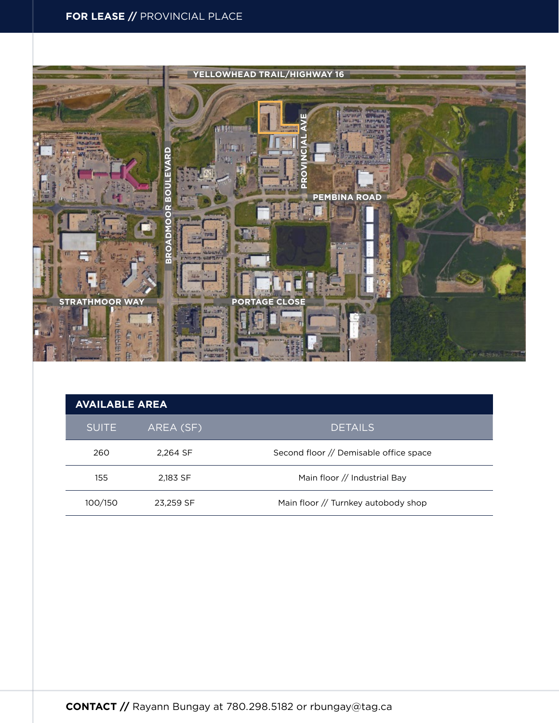## **FOR LEASE //** PROVINCIAL PLACE



| <b>AVAILABLE AREA</b> |           |                                        |
|-----------------------|-----------|----------------------------------------|
| <b>SUITE</b>          | AREA (SF) | <b>DETAILS</b>                         |
| 260                   | 2.264 SF  | Second floor // Demisable office space |
| 155                   | 2.183 SF  | Main floor // Industrial Bay           |
| 100/150               | 23,259 SF | Main floor // Turnkey autobody shop    |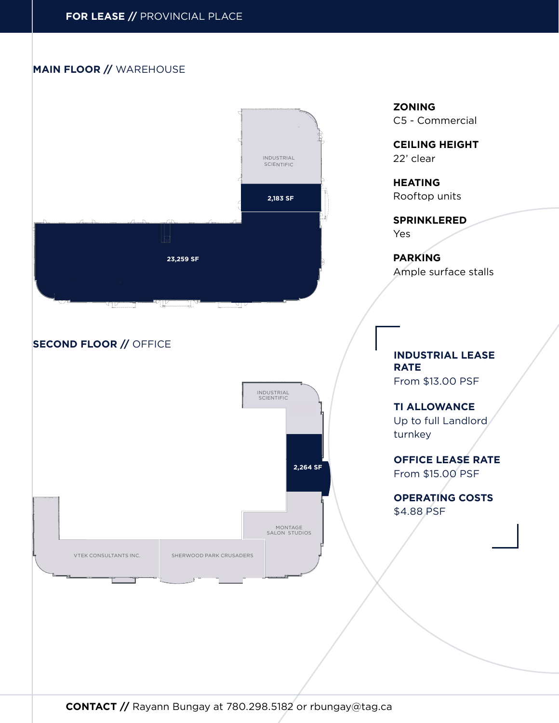#### **MAIN FLOOR //** WAREHOUSE



**CONTACT //** Rayann Bungay at 780.298.5182 or rbungay@tag.ca